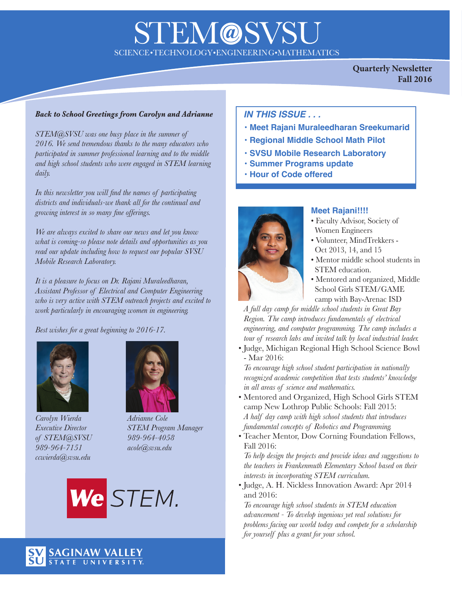# **STEM@SVS** SCIENCE•TECHNOLOGY•ENGINEERING•MATHEMATICS

**Quarterly Newsletter Fall 2016**

#### *Back to School Greetings from Carolyn and Adrianne*

*STEM@SVSU was one busy place in the summer of 2016. We send tremendous thanks to the many educators who participated in summer professional learning and to the middle and high school students who were engaged in STEM learning daily.*

*In this newsletter you will find the names of participating districts and individuals-we thank all for the continual and growing interest in so many fine offerings.*

*We are always excited to share our news and let you know what is coming-so please note details and opportunities as you read our update including how to request our popular SVSU Mobile Research Laboratory.*

*It is a pleasure to focus on Dr. Rajani Muraleedharan, Assistant Professor of Electrical and Computer Engineering who is very active with STEM outreach projects and excited to work particularly in encouraging women in engineering.*

*Best wishes for a great beginning to 2016-17.*



*Carolyn Wierda Adrianne Cole of STEM@SVSU 989-964-4058 989-964-7151 acole@svsu.edu ccwierda@svsu.edu*



*Executive Director STEM Program Manager*



### *IN THIS ISSUE . . .*

- **Meet Rajani Muraleedharan Sreekumarid**
- **Regional Middle School Math Pilot**
- **SVSU Mobile Research Laboratory**
- **Summer Programs update**
- **Hour of Code offered**



#### **Meet Rajani!!!!**

- Faculty Advisor, Society of Women Engineers
- Volunteer, MindTrekkers Oct 2013, 14, and 15
- Mentor middle school students in STEM education.
- Mentored and organized, Middle School Girls STEM/GAME camp with Bay-Arenac ISD

*A full day camp for middle school students in Great Bay Region. The camp introduces fundamentals of electrical engineering, and computer programming. The camp includes a tour of research labs and invited talk by local industrial leader.* 

• Judge, Michigan Regional High School Science Bowl - Mar 2016:

*To encourage high school student participation in nationally recognized academic competition that tests students' knowledge in all areas of science and mathematics.* 

- Mentored and Organized, High School Girls STEM camp New Lothrop Public Schools: Fall 2015: *A half day camp with high school students that introduces fundamental concepts of Robotics and Programming.*
- Teacher Mentor, Dow Corning Foundation Fellows, Fall 2016:

*To help design the projects and provide ideas and suggestions to the teachers in Frankenmuth Elementary School based on their interests in incorporating STEM curriculum.* 

• Judge, A. H. Nickless Innovation Award: Apr 2014 and 2016:

*To encourage high school students in STEM education advancement - To develop ingenious yet real solutions for problems facing our world today and compete for a scholarship for yourself plus a grant for your school.* 

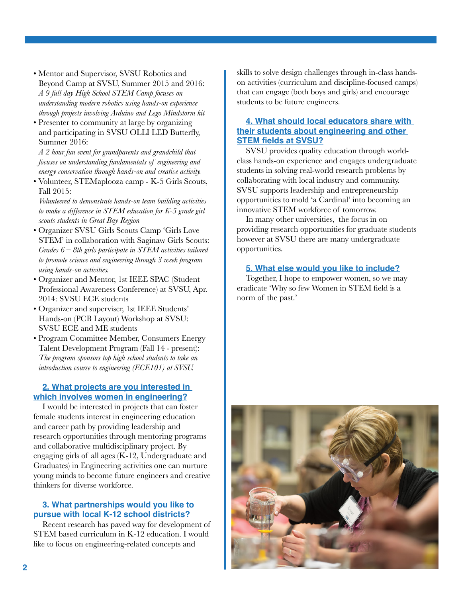- Mentor and Supervisor, SVSU Robotics and Beyond Camp at SVSU, Summer 2015 and 2016: *A 9 full day High School STEM Camp focuses on understanding modern robotics using hands-on experience through projects involving Arduino and Lego Mindstorm kit*
- Presenter to community at large by organizing and participating in SVSU OLLI LED Butterfly, Summer 2016:

*A 2 hour fun event for grandparents and grandchild that focuses on understanding fundamentals of engineering and energy conservation through hands-on and creative activity.*

• Volunteer, STEMaplooza camp - K-5 Girls Scouts, Fall 2015:

*Volunteered to demonstrate hands-on team building activities to make a difference in STEM education for K-5 grade girl scouts students in Great Bay Region* 

- Organizer SVSU Girls Scouts Camp 'Girls Love STEM' in collaboration with Saginaw Girls Scouts: *Grades 6 – 8th girls participate in STEM activities tailored to promote science and engineering through 3 week program using hands-on activities.*
- Organizer and Mentor, 1st IEEE SPAC (Student Professional Awareness Conference) at SVSU, Apr. 2014: SVSU ECE students
- Organizer and superviser, 1st IEEE Students' Hands-on (PCB Layout) Workshop at SVSU: SVSU ECE and ME students
- Program Committee Member, Consumers Energy Talent Development Program (Fall 14 - present): *The program sponsors top high school students to take an introduction course to engineering (ECE101) at SVSU.*

#### **2. What projects are you interested in which involves women in engineering?**

I would be interested in projects that can foster female students interest in engineering education and career path by providing leadership and research opportunities through mentoring programs and collaborative multidisciplinary project. By engaging girls of all ages (K-12, Undergraduate and Graduates) in Engineering activities one can nurture young minds to become future engineers and creative thinkers for diverse workforce.

#### **3. What partnerships would you like to pursue with local K-12 school districts?**

Recent research has paved way for development of STEM based curriculum in K-12 education. I would like to focus on engineering-related concepts and

skills to solve design challenges through in-class handson activities (curriculum and discipline-focused camps) that can engage (both boys and girls) and encourage students to be future engineers.

#### **4. What should local educators share with their students about engineering and other STEM fields at SVSU?**

SVSU provides quality education through worldclass hands-on experience and engages undergraduate students in solving real-world research problems by collaborating with local industry and community. SVSU supports leadership and entrepreneurship opportunities to mold 'a Cardinal' into becoming an innovative STEM workforce of tomorrow.

In many other universities, the focus in on providing research opportunities for graduate students however at SVSU there are many undergraduate opportunities.

#### **5. What else would you like to include?**

Together, I hope to empower women, so we may eradicate 'Why so few Women in STEM field is a norm of the past.'

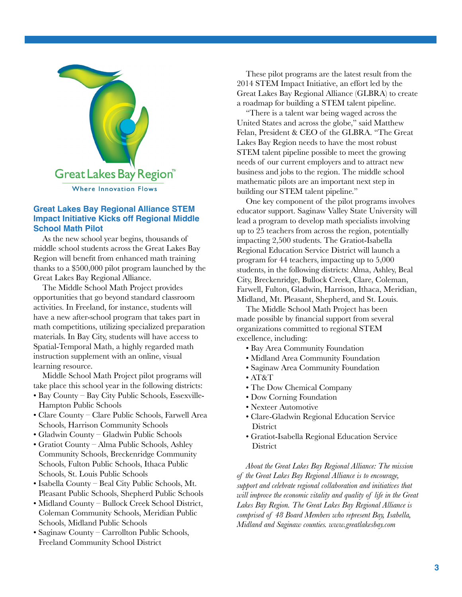

#### **Great Lakes Bay Regional Alliance STEM Impact Initiative Kicks off Regional Middle School Math Pilot**

As the new school year begins, thousands of middle school students across the Great Lakes Bay Region will benefit from enhanced math training thanks to a \$500,000 pilot program launched by the Great Lakes Bay Regional Alliance.

The Middle School Math Project provides opportunities that go beyond standard classroom activities. In Freeland, for instance, students will have a new after-school program that takes part in math competitions, utilizing specialized preparation materials. In Bay City, students will have access to Spatial-Temporal Math, a highly regarded math instruction supplement with an online, visual learning resource.

Middle School Math Project pilot programs will take place this school year in the following districts:

- Bay County Bay City Public Schools, Essexville-Hampton Public Schools
- Clare County Clare Public Schools, Farwell Area Schools, Harrison Community Schools
- Gladwin County Gladwin Public Schools
- Gratiot County Alma Public Schools, Ashley Community Schools, Breckenridge Community Schools, Fulton Public Schools, Ithaca Public Schools, St. Louis Public Schools
- Isabella County Beal City Public Schools, Mt. Pleasant Public Schools, Shepherd Public Schools
- Midland County Bullock Creek School District, Coleman Community Schools, Meridian Public Schools, Midland Public Schools
- Saginaw County Carrollton Public Schools, Freeland Community School District

These pilot programs are the latest result from the 2014 STEM Impact Initiative, an effort led by the Great Lakes Bay Regional Alliance (GLBRA) to create a roadmap for building a STEM talent pipeline.

"There is a talent war being waged across the United States and across the globe," said Matthew Felan, President & CEO of the GLBRA. "The Great Lakes Bay Region needs to have the most robust STEM talent pipeline possible to meet the growing needs of our current employers and to attract new business and jobs to the region. The middle school mathematic pilots are an important next step in building our STEM talent pipeline."

One key component of the pilot programs involves educator support. Saginaw Valley State University will lead a program to develop math specialists involving up to 25 teachers from across the region, potentially impacting 2,500 students. The Gratiot-Isabella Regional Education Service District will launch a program for 44 teachers, impacting up to 5,000 students, in the following districts: Alma, Ashley, Beal City, Breckenridge, Bullock Creek, Clare, Coleman, Farwell, Fulton, Gladwin, Harrison, Ithaca, Meridian, Midland, Mt. Pleasant, Shepherd, and St. Louis.

The Middle School Math Project has been made possible by financial support from several organizations committed to regional STEM excellence, including:

- Bay Area Community Foundation
- Midland Area Community Foundation
- Saginaw Area Community Foundation
- AT&T
- The Dow Chemical Company
- Dow Corning Foundation
- Nexteer Automotive
- Clare-Gladwin Regional Education Service **District**
- Gratiot-Isabella Regional Education Service **District**

*About the Great Lakes Bay Regional Alliance: The mission of the Great Lakes Bay Regional Alliance is to encourage, support and celebrate regional collaboration and initiatives that will improve the economic vitality and quality of life in the Great Lakes Bay Region. The Great Lakes Bay Regional Alliance is comprised of 48 Board Members who represent Bay, Isabella, Midland and Saginaw counties. www.greatlakesbay.com*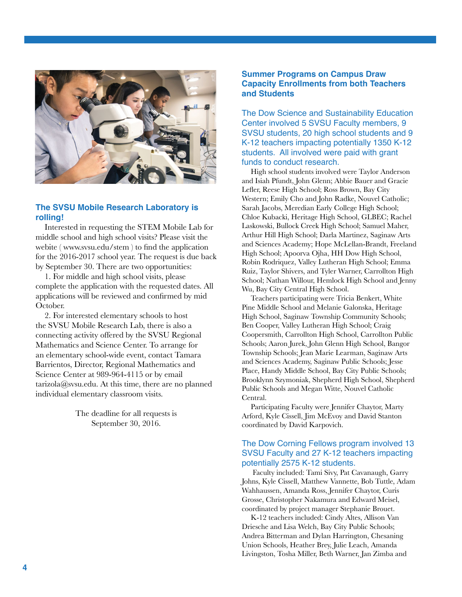

#### **The SVSU Mobile Research Laboratory is rolling!**

Interested in requesting the STEM Mobile Lab for middle school and high school visits? Please visit the webite ( www.svsu.edu/stem ) to find the application for the 2016-2017 school year. The request is due back by September 30. There are two opportunities:

1. For middle and high school visits, please complete the application with the requested dates. All applications will be reviewed and confirmed by mid October.

2. For interested elementary schools to host the SVSU Mobile Research Lab, there is also a connecting activity offered by the SVSU Regional Mathematics and Science Center. To arrange for an elementary school-wide event, contact Tamara Barrientos, Director, Regional Mathematics and Science Center at 989-964-4115 or by email  $\text{tarizola}(\hat{\omega}_{s}$  as also At this time, there are no planned individual elementary classroom visits.

> The deadline for all requests is September 30, 2016.

#### **Summer Programs on Campus Draw Capacity Enrollments from both Teachers and Students**

The Dow Science and Sustainability Education Center involved 5 SVSU Faculty members, 9 SVSU students, 20 high school students and 9 K-12 teachers impacting potentially 1350 K-12 students. All involved were paid with grant funds to conduct research.

High school students involved were Taylor Anderson and Isiah Pfundt, John Glenn; Abbie Bauer and Gracie Lefler, Reese High School; Ross Brown, Bay City Western; Emily Cho and John Radke, Nouvel Catholic; Sarah Jacobs, Meredian Early College High School; Chloe Kubacki, Heritage High School, GLBEC; Rachel Laskowski, Bullock Creek High School; Samuel Maher, Arthur Hill High School; Darla Martinez, Saginaw Arts and Sciences Academy; Hope McLellan-Brandt, Freeland High School; Apoorva Ojha, HH Dow High School, Robin Rodriquez, Valley Lutheran High School; Emma Ruiz, Taylor Shivers, and Tyler Warner, Carrollton High School; Nathan Willour, Hemlock High School and Jenny Wu, Bay City Central High School.

Teachers participating were Tricia Benkert, White Pine Middle School and Melanie Galonska, Heritage High School, Saginaw Township Community Schools; Ben Cooper, Valley Lutheran High School; Craig Coopersmith, Carrollton High School, Carrollton Public Schools; Aaron Jurek, John Glenn High School, Bangor Township Schools; Jean Marie Learman, Saginaw Arts and Sciences Academy, Saginaw Public Schools; Jesse Place, Handy Middle School, Bay City Public Schools; Brooklynn Szymoniak, Shepherd High School, Shepherd Public Schools and Megan Witte, Nouvel Catholic Central.

Participating Faculty were Jennifer Chaytor, Marty Arford, Kyle Cissell, Jim McEvoy and David Stanton coordinated by David Karpovich.

#### The Dow Corning Fellows program involved 13 SVSU Faculty and 27 K-12 teachers impacting potentially 2575 K-12 students.

 Faculty included: Tami Sivy, Pat Cavanaugh, Garry Johns, Kyle Cissell, Matthew Vannette, Bob Tuttle, Adam Wahhaussen, Amanda Ross, Jennifer Chaytor, Curis Grosse, Christopher Nakamura and Edward Meisel, coordinated by project manager Stephanie Brouet.

K-12 teachers included: Cindy Altes, Allison Van Driesche and Lisa Welch, Bay City Public Schools; Andrea Bitterman and Dylan Harrington, Chesaning Union Schools, Heather Brey, Julie Leach, Amanda Livingston, Tosha Miller, Beth Warner, Jan Zimba and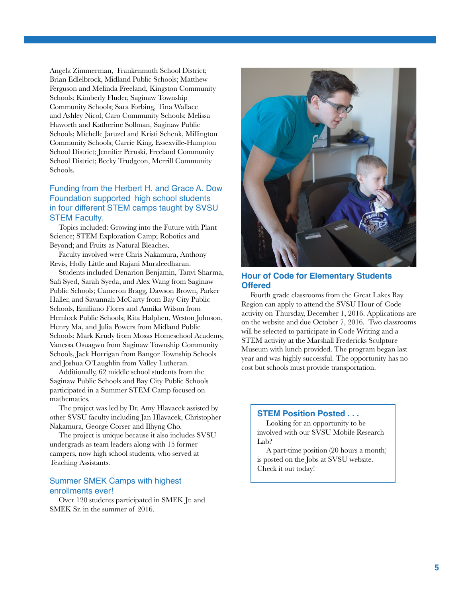Angela Zimmerman, Frankenmuth School District; Brian Edlelbrock, Midland Public Schools; Matthew Ferguson and Melinda Freeland, Kingston Community Schools; Kimberly Fluder, Saginaw Township Community Schools; Sara Forbing, Tina Wallace and Ashley Nicol, Caro Community Schools; Melissa Haworth and Katherine Sollman, Saginaw Public Schools; Michelle Jaruzel and Kristi Schenk, Millington Community Schools; Carrie King, Essexville-Hampton School District; Jennifer Peruski, Freeland Community School District; Becky Trudgeon, Merrill Community Schools.

#### Funding from the Herbert H. and Grace A. Dow Foundation supported high school students in four different STEM camps taught by SVSU STEM Faculty.

Topics included: Growing into the Future with Plant Science; STEM Exploration Camp; Robotics and Beyond; and Fruits as Natural Bleaches.

Faculty involved were Chris Nakamura, Anthony Revis, Holly Little and Rajani Muraleedharan.

Students included Denarion Benjamin, Tanvi Sharma, Safi Syed, Sarah Syeda, and Alex Wang from Saginaw Public Schools; Cameron Bragg, Dawson Brown, Parker Haller, and Savannah McCarty from Bay City Public Schools, Emiliano Flores and Annika Wilson from Hemlock Public Schools; Rita Halphen, Weston Johnson, Henry Ma, and Julia Powers from Midland Public Schools; Mark Krudy from Mosas Homeschool Academy, Vanessa Osuagwu from Saginaw Township Community Schools, Jack Horrigan from Bangor Township Schools and Joshua O'Laughlin from Valley Lutheran.

Additionally, 62 middle school students from the Saginaw Public Schools and Bay City Public Schools participated in a Summer STEM Camp focused on mathematics.

The project was led by Dr. Amy Hlavacek assisted by other SVSU faculty including Jan Hlavacek, Christopher Nakamura, George Corser and Ilhyng Cho.

The project is unique because it also includes SVSU undergrads as team leaders along with 15 former campers, now high school students, who served at Teaching Assistants.

#### Summer SMEK Camps with highest enrollments ever!

Over 120 students participated in SMEK Jr. and SMEK Sr. in the summer of 2016.



#### **Hour of Code for Elementary Students Offered**

Fourth grade classrooms from the Great Lakes Bay Region can apply to attend the SVSU Hour of Code activity on Thursday, December 1, 2016. Applications are on the website and due October 7, 2016. Two classrooms will be selected to participate in Code Writing and a STEM activity at the Marshall Fredericks Sculpture Museum with lunch provided. The program began last year and was highly successful. The opportunity has no cost but schools must provide transportation.

#### **STEM Position Posted . . .**

Looking for an opportunity to be involved with our SVSU Mobile Research Lab?

A part-time position (20 hours a month) is posted on the Jobs at SVSU website. Check it out today!